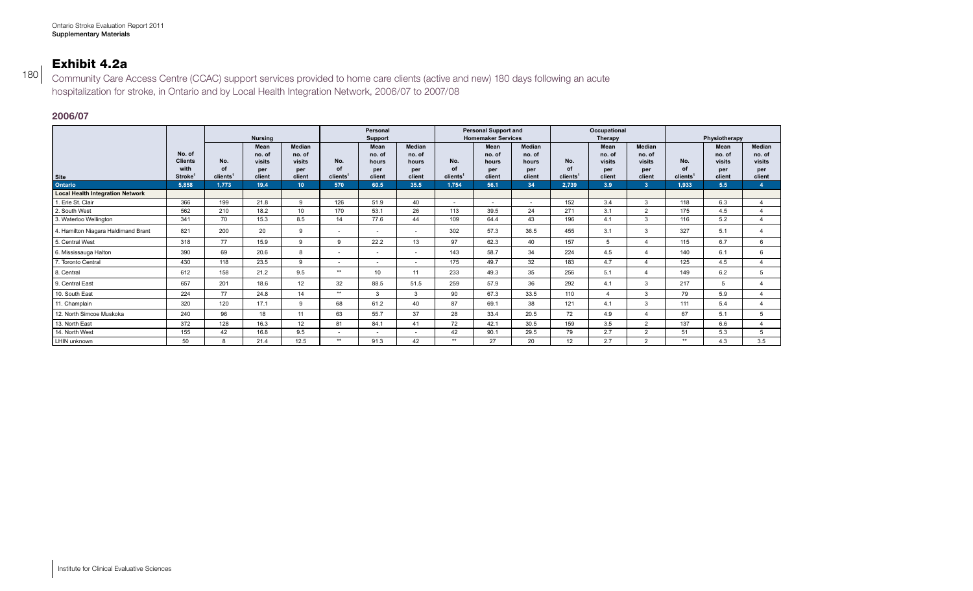# Exhibit 4.2a

Community Care Access Centre (CCAC) support services provided to home care clients (active and new) 180 days following an acute hospitalization for stroke, in Ontario and by Local Health Integration Network, 2006/07 to 2007/08

### **2006/07**

180

|                                         |                          |                      | <b>Nursing</b>   |                  |         | Personal<br>Support |              |         | <b>Personal Support and</b><br><b>Homemaker Services</b> |                 |         | Occupational<br>Therapy |                  | Physiotherapy        |                  |                  |  |
|-----------------------------------------|--------------------------|----------------------|------------------|------------------|---------|---------------------|--------------|---------|----------------------------------------------------------|-----------------|---------|-------------------------|------------------|----------------------|------------------|------------------|--|
|                                         |                          |                      | Mean             | Median           |         | Mean                | Median       |         | Mean                                                     | Median          |         | Mean                    | Median           |                      | Mean             | Median           |  |
|                                         | No. of<br><b>Clients</b> | No.                  | no. of<br>visits | no. of<br>visits | No.     | no. of<br>hours     | no. of       | No.     | no. of<br>hours                                          | no. of<br>hours | No.     | no. of<br>visits        | no. of<br>visits | No.                  | no. of<br>visits | no. of<br>visits |  |
|                                         | with                     |                      | per              | per              |         | per                 | hours<br>per |         | per                                                      | per             |         | per                     | per              |                      | per              | per              |  |
| Site                                    | Stroke <sup>1</sup>      | clients <sup>1</sup> | client           | client           | clients | client              | client       | clients | client                                                   | client          | clients | client                  | client           | clients <sup>1</sup> | client           | client           |  |
| <b>Ontario</b>                          | 5,858                    | 1,773                | 19.4             |                  | 570     | 60.5                | 35.5         | 1,754   | 56.1                                                     | -34             | 2,739   | 3.9                     |                  | 1,933                | 5.5              |                  |  |
| <b>Local Health Integration Network</b> |                          |                      |                  |                  |         |                     |              |         |                                                          |                 |         |                         |                  |                      |                  |                  |  |
| 1. Erie St. Clair                       | 366                      | 199                  | 21.8             |                  | 126     | 51.9                | 40           |         | $\sim$                                                   | $\sim$          | 152     | 3.4                     |                  | 118                  | 6.3              |                  |  |
| 2. South West                           | 562                      | 210                  | 18.2             | 10 <sup>1</sup>  | 170     | 53.1                | 26           | 113     | 39.5                                                     | 24              | 271     | 3.1                     |                  | 175                  | 4.5              |                  |  |
| 3. Waterloo Wellington                  | 341                      | 70                   | 15.3             | 8.5              | 14      | 77.6                | 44           | 109     | 64.4                                                     | 43              | 196     | 4.1                     |                  | 116                  | 5.2              |                  |  |
| 4. Hamilton Niagara Haldimand Brant     | 821                      | 200                  | 20               |                  | $\sim$  |                     |              | 302     | 57.3                                                     | 36.5            | 455     | 3.1                     |                  | 327                  | 5.1              |                  |  |
| 5. Central West                         | 318                      | 77                   | 15.9             |                  | $\sim$  | 22.2                | 13           | 07      | 62.3                                                     | 40              | 157     |                         |                  | 115                  | 6.7              |                  |  |
| 6. Mississauga Halton                   | 390                      | 69                   | 20.6             |                  | $\sim$  |                     |              | 143     | 58.7                                                     | 34              | 224     | 4.5                     |                  | 140                  | 61               |                  |  |
| 7. Toronto Central                      | 430                      | 118                  | 23.5             |                  | $\sim$  |                     |              | 175     | 49.7                                                     | 32              | 183     | 4.7                     |                  | 125                  | 4.5              |                  |  |
| 8. Central                              | 612                      | 158                  | 21.2             | 9.5              | $***$   | 10                  | 11           | 233     | 49.3                                                     | 35              | 256     | 5.1                     |                  | 149                  | 6.2              |                  |  |
| 9. Central East                         | 657                      | 201                  | 18.6             | 12               | 32      | 88.5                | 51.5         | 259     | 57.9                                                     | 36              | 292     | 4.1                     |                  | 217                  |                  |                  |  |
| 10. South East                          | 224                      | 77                   | 24.8             | 14               | **      |                     |              | 90      | 67.3                                                     | 33.5            | 110     |                         |                  | 79                   | 5.9              |                  |  |
| 11. Champlain                           | 320                      | 120                  | 17.1             |                  | 68      | 61.2                | 40           | 87      | 69.1                                                     | 38              | 121     | 4.1                     |                  | 111                  | 54               |                  |  |
| 12. North Simcoe Muskoka                | 240                      | 96                   | 18               |                  | 63      | 55.7                | 37           | 28      | 33.4                                                     | 20.5            | 72      | 4.9                     |                  | 67                   | 5.1              |                  |  |
| 13. North East                          | 372                      | 128                  | 16.3             | 12               | 81      | 84.1                | 41           | 72      | 42.1                                                     | 30.5            | 159     | 3.5                     |                  | 137                  | 6.6              |                  |  |
| 14. North West                          | 155                      | 42                   | 16.8             | 9.5              | $\sim$  |                     | $\sim$       | 42      | 90.1                                                     | 29.5            | 79      | 2.7                     |                  | 51                   | 5.3              | 5                |  |
| LHIN unknown                            | 50                       |                      | 21.4             | 12.5             | $***$   | 91.3                | 42           | $***$   | 27                                                       | 20              | 12      | 2.7                     |                  | $***$                | 4.3              | 3.5              |  |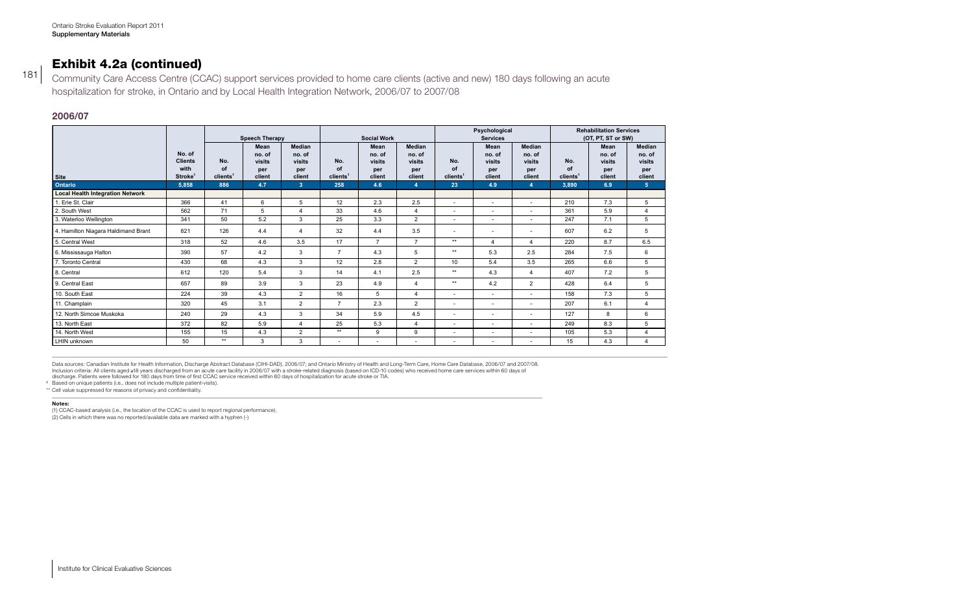## Exhibit 4.2a (continued)

Community Care Access Centre (CCAC) support services provided to home care clients (active and new) 180 days following an acute hospitalization for stroke, in Ontario and by Local Health Integration Network, 2006/07 to 2007/08

### **2006/07**

181

|                                         |                          |             |                       |                   |                          |                    |                    |                              | Psychological                     |               |               | <b>Rehabilitation Services</b> |                    |                |
|-----------------------------------------|--------------------------|-------------|-----------------------|-------------------|--------------------------|--------------------|--------------------|------------------------------|-----------------------------------|---------------|---------------|--------------------------------|--------------------|----------------|
|                                         |                          |             | <b>Speech Therapy</b> |                   |                          | <b>Social Work</b> |                    |                              | <b>Services</b>                   |               |               |                                | (OT, PT, ST or SW) |                |
|                                         |                          |             | Mean                  | Median            |                          | Mean               | Median             |                              | <b>Mean</b>                       | Median        |               |                                | Mean<br>no. of     | Median         |
|                                         | No. of<br><b>Clients</b> |             | no. of                | no. of            |                          | no. of             | no. of             |                              | no. of                            |               | no. of        |                                |                    | no. of         |
|                                         | with                     | No.         | visits<br>per         | visits<br>per     | No.                      | visits<br>per      | visits<br>per      | NO.                          | visits<br>per                     |               | visits<br>nor | No.                            | visits<br>per      | visits<br>per  |
|                                         | Stroke <sup>1</sup>      | clients'    | client                | client            |                          |                    | client             | clients                      | client                            |               | client        | rlien                          | client             | client         |
| Ontario                                 | 5,858                    | 886         | $-4.7$                |                   | 258                      | 4.6                |                    | 23                           | 4.9                               |               |               | 3,890                          | 6.9                |                |
| <b>Local Health Integration Network</b> |                          |             |                       |                   |                          |                    |                    |                              |                                   |               |               |                                |                    |                |
| 1. Erie St. Clair                       | 366                      | $\Lambda$ 1 |                       |                   |                          | 2.3                | 2.5                |                              | $\sim$ $\sim$                     |               | $\sim$        | 210                            | 7.3                |                |
| 2. South West                           | 562                      |             |                       |                   |                          | 4.6                |                    | $\sim$ 100 $\sim$ 100 $\sim$ | $\sim$ 100 $\sim$                 |               |               | 361                            | 5.9                |                |
| 3. Waterloo Wellington                  | 341                      |             |                       |                   |                          | 33                 |                    | $\sim$ 100 $\sim$ 100 $\sim$ | $\sim$ 100 $\sim$                 |               |               | 247                            | 71                 |                |
| 4. Hamilton Niagara Haldimand Brant     | 821                      | 126         | 4.4                   |                   |                          | 4.4                | o E                | $\sim$                       |                                   |               |               | 607                            | 6.2                |                |
| 5. Central West                         | 318                      |             | 4.6                   | 3 F               |                          |                    |                    | $***$                        |                                   |               |               | 220                            | 8.7                | 6.5            |
| 6. Mississauga Halton                   | 390                      |             |                       |                   |                          | 4.3                |                    | $***$                        | $ \sim$                           |               |               | 284                            | 7.5                |                |
| 7. Toronto Central                      | 430                      |             | 4.3                   |                   | - 12                     | 2.8                |                    | 10                           | 54                                |               | 2E            | 265                            | 6.6                | $\mathbf{r}$   |
| 8. Central                              | 612                      | 120         |                       |                   | AA                       | 4.1                | 2.5                | $***$                        | 4.3                               |               |               | 407                            | 7.2                | $\sim$         |
| 9. Central East                         | 657                      |             |                       |                   |                          | 4.9                |                    | $+ +$                        | 4.2                               |               |               | 428                            | 6.4                |                |
| 10. South East                          | 224                      |             | 4.3                   |                   |                          |                    | $\overline{4}$     | $\sim$ 100 $\sim$            | <b>Contract Contract</b>          |               |               | 158                            | 7.3                |                |
| 11. Champlain                           | 320                      |             | 3.1                   |                   |                          | 2.3                |                    | $\sim$ $-$                   | <b>Contract Contract</b>          |               |               | 207                            | 6.1                |                |
| 12. North Simcoe Muskoka                | 240                      |             | 4.3                   |                   | 24                       | 5.9                | 4.5                | $\sim$                       | $\sim$ $-$                        |               |               | 127                            |                    |                |
| 13. North East                          | 372                      |             | 5.9                   | $\mathbf{\Delta}$ |                          | 5.3                | $\overline{4}$     | <b>Contract Contract</b>     | <b>Contract Contract Contract</b> | $\sim$ $\sim$ |               | 249                            | 8.3                |                |
| 14. North West                          | 155                      |             | 4.3                   |                   | $***$                    |                    |                    | <b>Contract Contract</b>     |                                   |               | $\sim$ $\sim$ | 105                            | 5.3                |                |
| LHIN unknown                            | $E^{\wedge}$             |             |                       |                   | <b>Contract Contract</b> | $\sim$ $\sim$      | <b>State State</b> | <b>Contract Contract</b>     | <b>Contract Contract Contract</b> |               |               |                                | 4.3                | $\overline{A}$ |

Data sources: Canadian Institute for Health Information, Discharge Abstract Database (CIHI-DAD), 2006/07; and Ontario Ministry of Health and Long-Term Care, Home Care Database, 2006/07 and 2007/08. Inclusion criteria: All clients aged ≥18 years discharged from an acute care facility in 2006/07 with a stroke-related diagnosis (based on ICD-10 codes) who received home care services within 60 days of<br>discharge. Patient

**<sup>1</sup>** Based on unique patients (i.e., does not include multiple patient-visits).

\*\* Cell value suppressed for reasons of privacy and confidentiality.

#### **Notes:**

(1) CCAC-based analysis (i.e., the location of the CCAC is used to report regional performance). (2) Cells in which there was no reported/available data are marked with a hyphen (-)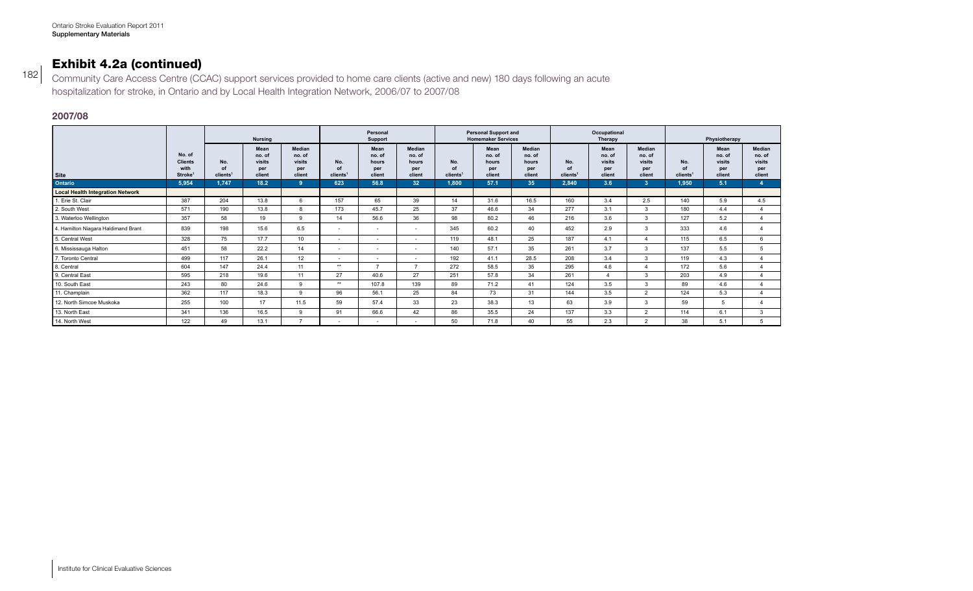# Exhibit 4.2a (continued)

Community Care Access Centre (CCAC) support services provided to home care clients (active and new) 180 days following an acute hospitalization for stroke, in Ontario and by Local Health Integration Network, 2006/07 to 2007/08

### **2007/08**

182

|                                         |                             |                      |                | Personal        |                      |               |                 | <b>Personal Support and</b> |                           |               | Occupational         |               |               |                      |               |               |  |
|-----------------------------------------|-----------------------------|----------------------|----------------|-----------------|----------------------|---------------|-----------------|-----------------------------|---------------------------|---------------|----------------------|---------------|---------------|----------------------|---------------|---------------|--|
|                                         |                             |                      | <b>Nursing</b> |                 |                      | Support       |                 |                             | <b>Homemaker Services</b> |               |                      | Therapy       |               |                      | Physiotherapy |               |  |
|                                         |                             |                      | Mean           | Median          |                      | Mean          | Median          |                             | Mean                      | Median        |                      | Mean          | Median        |                      | Mean          | Median        |  |
|                                         | No. of                      |                      | no. of         | no. of          |                      | no. of        | no. of          |                             | no. of                    | no. of        |                      | no. of        | no. of        |                      | no. of        | no. of        |  |
|                                         | <b>Clients</b>              | No.                  | visits         | visits          | No.                  | hours         | hours           | No.                         | hours                     | hours         | No.                  | visits        | visits        | No.                  | visits        | visits        |  |
| Site                                    | with<br>Stroke <sup>1</sup> | clients <sup>1</sup> | per<br>client  | per<br>client   | clients <sup>1</sup> | per<br>client | per<br>client   | clients <sup>1</sup>        | per<br>client             | per<br>client | clients <sup>1</sup> | per<br>client | per<br>client | clients <sup>1</sup> | per<br>client | per<br>client |  |
| <b>Ontario</b>                          | 5,954                       | 1.747                | 18.2           |                 | 623                  | 56.8          | 32 <sup>°</sup> | 1,800                       | 57.1                      | 35            | 2,840                | 3.6           |               | 1,950                | 5.1           | -4            |  |
| <b>Local Health Integration Network</b> |                             |                      |                |                 |                      |               |                 |                             |                           |               |                      |               |               |                      |               |               |  |
| 1. Erie St. Clair                       | 387                         | 204                  | 13.8           |                 | 157                  | 65            | 39              | 14                          | 31.6                      | 16.5          | 160                  | 3.4           | 2.5           | 140                  | 5.9           | 4.5           |  |
| 2. South West                           | 571                         | 190                  | 13.8           |                 | 173                  | 45.7          | 25              | 37                          | 46.6                      | 34            | 277                  | 3.1           |               | 180                  | 4.4           |               |  |
| 3. Waterloo Wellington                  | 357                         | 58                   | 19             |                 | 14                   | 56.6          | 36              | 98                          | 80.2                      | 46            | 216                  | 3.6           |               | 127                  | 5.2           |               |  |
| 4. Hamilton Niagara Haldimand Brant     | 839                         | 198                  | 15.6           | 6.5             | $\sim$               | $\sim$        | $\sim$          | 345                         | 60.2                      | 40            | 452                  | 2.9           |               | 333                  | 4.6           |               |  |
| 5. Central West                         | 328                         |                      | 17.7           | 10 <sup>1</sup> | $\sim$               |               |                 | 119                         | 48.1                      | 25            | 187                  | 4.1           |               | 115                  | 6.5           |               |  |
| 6. Mississauga Halton                   | 451                         | 58                   | 22.2           |                 | $\sim$               |               |                 | 140                         | 57.1                      | 35            | 261                  | 3.7           |               | 137                  | 5.5           |               |  |
| 7. Toronto Central                      | 499                         | 117                  | 26.1           | 12              | $\sim$               |               | $\sim$          | 192                         | 41.1                      | 28.5          | 208                  | 3.4           |               | 119                  | 4.3           |               |  |
| 8. Central                              | 604                         | 147                  | 24.4           | 11              | **                   |               |                 | 272                         | 58.5                      | 35            | 295                  | 4.6           |               | 172                  | 5.6           |               |  |
| 9. Central East                         | 595                         | 218                  | 19.6           | 11              | 27                   | 40.6          | 27              | 251                         | 57.8                      | 34            | 261                  |               |               | 203                  | 4.9           |               |  |
| 10. South East                          | 243                         | 80                   | 24.6           |                 | **                   | 107.8         | 139             | 89                          | 71.2                      | 41            | 124                  | 3.5           |               | 89                   | 4.6           |               |  |
| 11. Champlain                           | 362                         | 117                  | 18.3           |                 | 96                   | 56.1          | 25              | 84                          | 73                        | 31            | 144                  | 3.5           |               | 124                  | 5.3           |               |  |
| 12. North Simcoe Muskoka                | 255                         | 100                  | 17             | 11.5            | 59                   | 57.4          | 33              | 23                          | 38.3                      | 13            | 63                   | 3.9           |               | 59                   |               |               |  |
| 13. North East                          | 341                         | 136                  | 16.5           |                 | 91                   | 66.6          | 42              | 86                          | 35.5                      | 24            | 137                  | 3.3           |               | 114                  | 6.1           |               |  |
| 14. North West                          | 122                         | $\Lambda$            | 13.1           |                 |                      |               |                 | 50                          | 71.8                      | 40            | 55                   | 2.3           |               | 38                   | 5.1           |               |  |